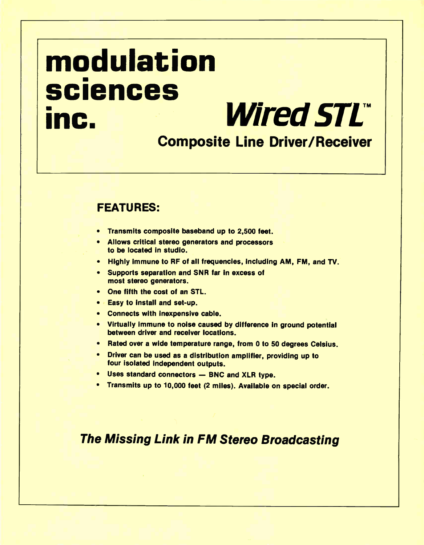# modulation sciences inc. Wired STL

### Composite Line Driver/Receiver

### FEATURES:

- Transmits composite baseband up to 2,500 feet.
- Allows critical stereo generators and processors to be located in studio.
- Highly immune to RF of all frequencies, including AM, FM, and TV.
- Supports separation and SNR far in excess of most stereo generators.
- One fifth the cost of an STL.
- Easy to install and set-up.
- Connects with inexpensive cable.
- Virtually immune to noise caused by difference in ground potential between driver and receiver locations.
- Rated over a wide temperature range, from 0 to 50 degrees Celsius.
- Driver can be used as a distribution amplifier, providing up to four isolated independent outputs.
- Uses standard connectors BNC and XLR type.
- Transmits up to 10,000 feet (2 miles). Available on special order.

### The Missing Link in FM Stereo Broadcasting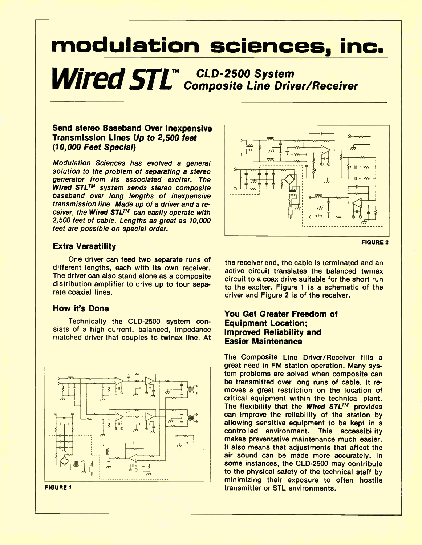### modulation sciences, inc.

Wired STL<sup>TM</sup> CLD-2500 System<br>
Composite Line Driver/Receiver

### Send stereo Baseband Over Inexpensive Transmission Lines Up to 2,500 feet (10,000 Feet Special)

Modulation Sciences has evolved a general solution to the problem of separating a stereo generator from its associated exciter. The Wired STL<sup>TM</sup> system sends stereo composite baseband over long lengths of inexpensive transmission line. Made up of a driver and a receiver, the Wired STL<sup>TM</sup> can easily operate with 2,500 feet of cable. Lengths as great as 10,000 feet are possible on special order.

### Extra Versatility

One driver can feed two separate runs of different lengths, each with its own receiver. The driver can also stand alone as a composite distribution amplifier to drive up to four separate coaxial lines.

### How it's Done

Technically the CLD-2500 system consists of a high current, balanced, impedance matched driver that couples to twinax line. At





FIGURE 2

the receiver end, the cable is terminated and an active circuit translates the balanced twinax circuit to a coax drive suitable for the short run to the exciter. Figure 1 is a schematic of the driver and Figure 2 is of the receiver.

### You Get Greater Freedom of Equipment Location; Improved Reliability and Easier Maintenance

The Composite Line Driver/Receiver fills a great need in FM station operation. Many system problems are solved when composite can be transmitted over long runs of cable. It removes a great restriction on the location of critical equipment within the technical plant. The flexibility that the Wired  $STL^{TM}$  provides can improve the reliability of the station by allowing sensitive equipment to be kept in a controlled environment. This accessibility makes preventative maintenance much easier. It also means that adjustments that affect the air sound can be made more accurately. In some instances, the CLD-2500 may contribute to the physical safety of the technical staff by minimizing their exposure to often hostile transmitter or STL environments.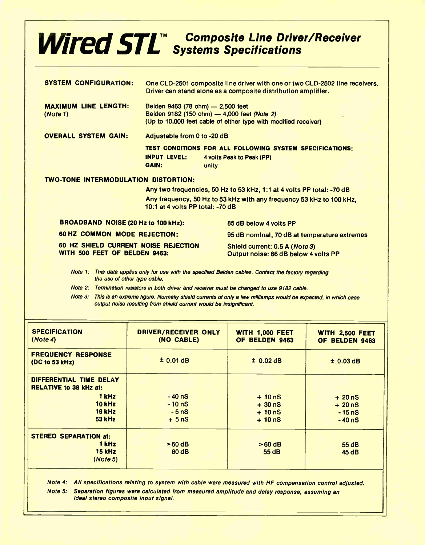### **Wired STI**<sup>M</sup> Composite Line Driver/Receiver Systems Specifications

| <b>SYSTEM CONFIGURATION:</b>                                          | One CLD-2501 composite line driver with one or two CLD-2502 line receivers.<br>Driver can stand alone as a composite distribution amplifier.                                      |                                                                                                |  |
|-----------------------------------------------------------------------|-----------------------------------------------------------------------------------------------------------------------------------------------------------------------------------|------------------------------------------------------------------------------------------------|--|
| <b>MAXIMUM LINE LENGTH:</b><br>(Note 1)                               | Belden 9463 (78 ohm) - 2,500 feet<br>Belden 9182 (150 ohm) - 4,000 feet (Note 2)<br>(Up to 10,000 feet cable of either type with modified receiver)                               |                                                                                                |  |
| <b>OVERALL SYSTEM GAIN:</b>                                           | Adjustable from 0 to -20 dB                                                                                                                                                       |                                                                                                |  |
|                                                                       | <b>INPUT LEVEL:</b><br><b>GAIN:</b>                                                                                                                                               | TEST CONDITIONS FOR ALL FOLLOWING SYSTEM SPECIFICATIONS:<br>4 volts Peak to Peak (PP)<br>unity |  |
| <b>TWO-TONE INTERMODULATION DISTORTION:</b>                           |                                                                                                                                                                                   |                                                                                                |  |
|                                                                       | Any two frequencies, 50 Hz to 53 kHz, 1:1 at 4 volts PP total: -70 dB<br>Any frequency, 50 Hz to 53 kHz with any frequency 53 kHz to 100 kHz,<br>10:1 at 4 volts PP total: -70 dB |                                                                                                |  |
| <b>BROADBAND NOISE (20 Hz to 100 kHz):</b>                            |                                                                                                                                                                                   | 85 dB below 4 volts PP                                                                         |  |
| <b>60 HZ COMMON MODE REJECTION:</b>                                   |                                                                                                                                                                                   | 95 dB nominal, 70 dB at temperature extremes                                                   |  |
| 60 HZ SHIELD CURRENT NOISE REJECTION<br>WITH 500 FEET OF BELDEN 9463: |                                                                                                                                                                                   | Shield current: 0.5 A (Note 3)<br>Output noise: 66 dB below 4 volts PP                         |  |
| Note $1:$<br>the use of other type cable.                             |                                                                                                                                                                                   | This data applies only for use with the specified Belden cables. Contact the factory regarding |  |

Note 2: Termination resistors in both driver and receiver must be changed to use 9182 cable.

Note 3: This is an extreme figure. Normally shield currents of only a few milliamps would be expected, in which case output noise resulting from shield current would be insignificant.

| <b>SPECIFICATION</b><br>(Note4)                          | <b>DRIVER/RECEIVER ONLY</b><br>(NO CABLE) | <b>WITH 1,000 FEET</b><br>OF BELDEN 9463 | <b>WITH 2,500 FEET</b><br>OF BELDEN 9463 |
|----------------------------------------------------------|-------------------------------------------|------------------------------------------|------------------------------------------|
| <b>FREQUENCY RESPONSE</b><br>(DC to 53 kHz)              | $±$ 0.01 dB                               | $±$ 0.02 dB                              | $±$ 0.03 dB                              |
| DIFFERENTIAL TIME DELAY<br><b>RELATIVE to 38 kHz at:</b> |                                           |                                          |                                          |
| 1 kHz                                                    | $-40$ nS                                  | $+10ns$                                  | $+20nS$                                  |
| 10 kHz                                                   | $-10ns$                                   | $+300$                                   | $+20$ nS                                 |
| <b>19 kHz</b>                                            | $-5nS$                                    | $+10nS$                                  | $-15ns$                                  |
| <b>53 kHz</b>                                            | $+5nS$                                    | $+105$                                   | $-40ns$                                  |
| <b>STEREO SEPARATION at:</b>                             |                                           |                                          |                                          |
| 1 kHz                                                    | $>60$ dB                                  | $>60$ dB                                 | 55 dB                                    |
| <b>15 kHz</b>                                            | 60 dB                                     | 55 dB                                    | 45 dB                                    |
| (Note 5)                                                 |                                           |                                          |                                          |
|                                                          |                                           |                                          |                                          |

Note 4: All specifications relating to system with cable were measured with HF compensation control adjusted. Note 5: Separation figures were calculated from measured amplitude and delay response, assuming an ideal stereo composite input signal.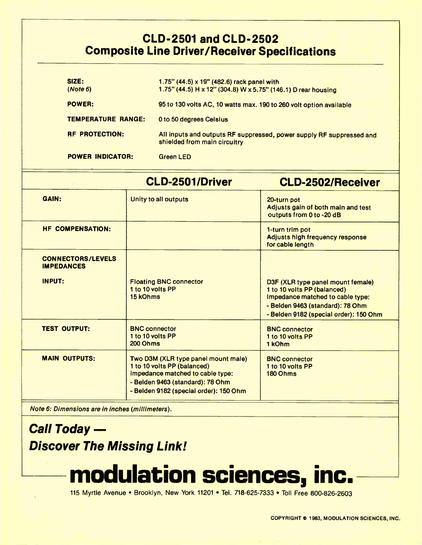### CLD-2501 and CLD-2502 Composite Line Driver/Receiver Specifications

| SIZE:<br>(Note 6)         | 1.75" $(44.5) \times 19$ " $(482.6)$ rack panel with<br>1.75" (44.5) H x 12" (304.8) W x 5.75" (146.1) D rear housing |  |  |
|---------------------------|-----------------------------------------------------------------------------------------------------------------------|--|--|
| <b>POWER:</b>             | 95 to 130 volts AC, 10 watts max. 190 to 260 volt option available                                                    |  |  |
| <b>TEMPERATURE RANGE:</b> | 0 to 50 degrees Celsius                                                                                               |  |  |
| <b>RF PROTECTION:</b>     | All inputs and outputs RF suppressed, power supply RF suppressed and<br>shielded from main circuitry                  |  |  |
| <b>POWER INDICATOR:</b>   | <b>Green LED</b>                                                                                                      |  |  |

|                                               | CLD-2501/Driver                                                                                                                                                                      | <b>CLD-2502/Receiver</b>                                                                                                                                                           |
|-----------------------------------------------|--------------------------------------------------------------------------------------------------------------------------------------------------------------------------------------|------------------------------------------------------------------------------------------------------------------------------------------------------------------------------------|
| <b>GAIN:</b>                                  | Unity to all outputs                                                                                                                                                                 | 20-turn pot<br>Adjusts gain of both main and test<br>outputs from 0 to -20 dB                                                                                                      |
| <b>HF COMPENSATION:</b>                       |                                                                                                                                                                                      | 1-turn trim pot<br>Adjusts high frequency response<br>for cable length                                                                                                             |
| <b>CONNECTORS/LEVELS</b><br><b>IMPEDANCES</b> |                                                                                                                                                                                      |                                                                                                                                                                                    |
| <b>INPUT:</b>                                 | <b>Floating BNC connector</b><br>1 to 10 volts PP<br>15 kOhms                                                                                                                        | D3F (XLR type panel mount female)<br>1 to 10 volts PP (balanced)<br>Impedance matched to cable type:<br>- Belden 9463 (standard): 78 Ohm<br>- Belden 9182 (special order): 150 Ohm |
| <b>TEST OUTPUT:</b>                           | <b>BNC connector</b><br>1 to 10 volts PP<br>200 Ohms                                                                                                                                 | <b>BNC</b> connector<br>1 to 10 volts PP<br>1 kOhm                                                                                                                                 |
| <b>MAIN OUTPUTS:</b>                          | Two D3M (XLR type panel mount male)<br>1 to 10 volts PP (balanced)<br>Impedance matched to cable type:<br>- Belden 9463 (standard): 78 Ohm<br>- Belden 9182 (special order): 150 Ohm | <b>BNC</b> connector<br>1 to 10 volts PP<br>180 Ohms                                                                                                                               |

Note 6: Dimensions are in inches (millimeters).

Call Today -Discover The Missing Link! The

# modulation sciences, inc.—

115 Myrtle Avenue • Brooklyn, New York 11201 • Tel. 718-625-7333 • Toll Free 800-826-2603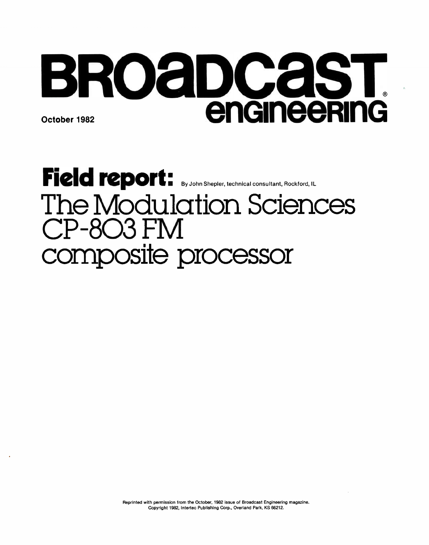# BRoaDcasT October 1982 **enGineeRing**

# Field report: By John Shepler, technical consultant, Rockford, IL The Modulation Sciences CP-803 FM composite processor

Reprinted with permission from the October, 1982 issue of Broadcast Engineering magazine. Copyright 1982, Intertec Publishing Corp., Overland Park, KS 66212.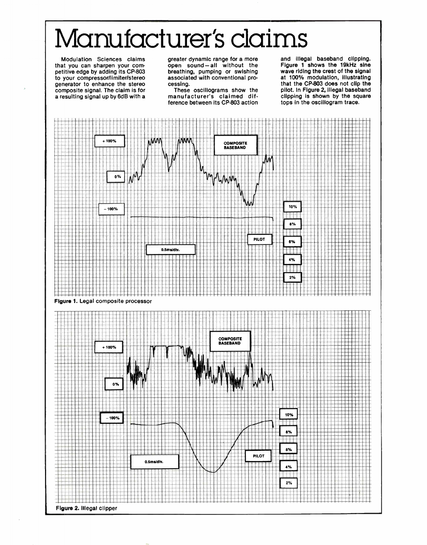# Manufacturer's claims

Modulation Sciences claims that you can sharpen your competitive edge by adding its CP-803 to your compressor/limiter/stereo generator to enhance the stereo composite signal. The claim is for a resulting signal up by 6dB with a

greater dynamic range for a more open sound — all without the breathing, pumping or swishing associated with conventional processing.

These oscillograms show the manufacturer's claimed difference between its CP-803 action and illegal baseband clipping. Figure 1 shows the 19kHz sine wave riding the crest of the signal at 100% modulation, illustrating that the CP-803 does not clip the pilot. In Figure 2, illegal baseband clipping is shown by the square tops in the oscillogram trace.

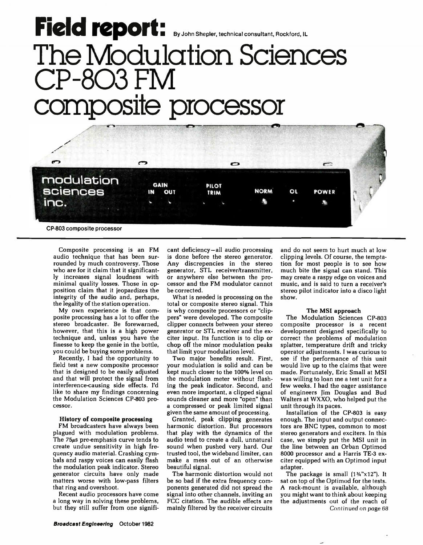## **FICIM ICOUR Report Following Shepler, technical consultant, Rockford, IL** The Modulation Sciences CP-803 FM **uposite processor**



Composite processing is an FM audio technique that has been surrounded by much controversy. Those who are for it claim that it significantly increases signal loudness with minimal quality losses. Those in opposition claim that it jeopardizes the integrity of the audio and, perhaps, the legality of the station operation.

My own experience is that composite processing has a lot to offer the stereo broadcaster. Be forewarned, however, that this is a high power technique and, unless you have the finesse to keep the genie in the bottle, you could be buying some problems.

Recently, I had the opportunity to field test a new composite processor that is designed to be easily adjusted and that will protect the signal from interference-causing side effects. I'd like to share my findings concerning the Modulation Sciences CP-803 processor.

#### History of composite processing

FM broadcasters have always been plagued with modulation problems. The 75µs pre-emphasis curve tends to create undue sensitivity in high frequency audio material. Crashing cymbals and raspy voices can easily flash the modulation peak indicator. Stereo generator circuits have only made matters worse with low-pass filters that ring and overshoot.

Recent audio processors have come a long way in solving these problems, but they still suffer from one significant deficiency—all audio processing is done before the stereo generator. Any discrepencies in the stereo generator, STL receiver/transmitter, or anywhere else between the processor and the FM modulator cannot be corrected.

What is needed is processing on the total or composite stereo signal. This is why composite processors or "clippers" were developed. The composite clipper connects between your stereo generator or STL receiver and the exciter input. Its function is to clip or chop off the minor modulation peaks that limit your modulation level.

Two major benefits result. First, your modulation is solid and can be kept much closer to the 100% level on the modulation meter without flashing the peak indicator. Second, and even more important, a clipped signal sounds cleaner and more "open" than a compressed or peak limited signal given the same amount of processing.

Granted, peak clipping generates harmonic distortion. But processors that play with the dynamics of the audio tend to create a dull, unnatural sound when pushed very hard. Our trusted tool, the wideband limiter, can make a mess out of an otherwise beautiful signal.

The harmonic distortion would not be so bad if the extra frequency components generated did not spread the signal into other channels, inviting an FCC citation. The audible effects are mainly filtered by the receiver circuits

and do not seem to hurt much at low clipping levels. Of course, the temptation for most people is to see how much bite the signal can stand. This may create a raspy edge on voices and music, and is said to turn a receiver's stereo pilot indicator into a disco light show.

#### The MS! approach

The Modulation Sciences CP-803 composite processor is a recent development designed specifically to correct the problems of modulation splatter, temperature drift and tricky operator adjustments. I was curious to see if the performance of this unit would live up to the claims that were made. Fortunately, Eric Small at MSI was willing to loan me a test unit for a few weeks. I had the eager assistance of engineers Jim Douglas and Bud Walters at WXXO, who helped put the unit through its paces.

Installation of the CP-803 is easy enough. The input and output connectors are BNC types, common to most stereo generators and exciters. In this case, we simply put the MSI unit in the line between an Orban Optimod 8000 processor and a Harris TE -3 exciter equipped with an Optimod input adapter.

The package is small  $(1\frac{1}{2}x^{2})$ . It sat on top of the Optimod for the tests. A rack-mount is available, although you might want to think about keeping the adjustments out of the reach of Continued on page 68